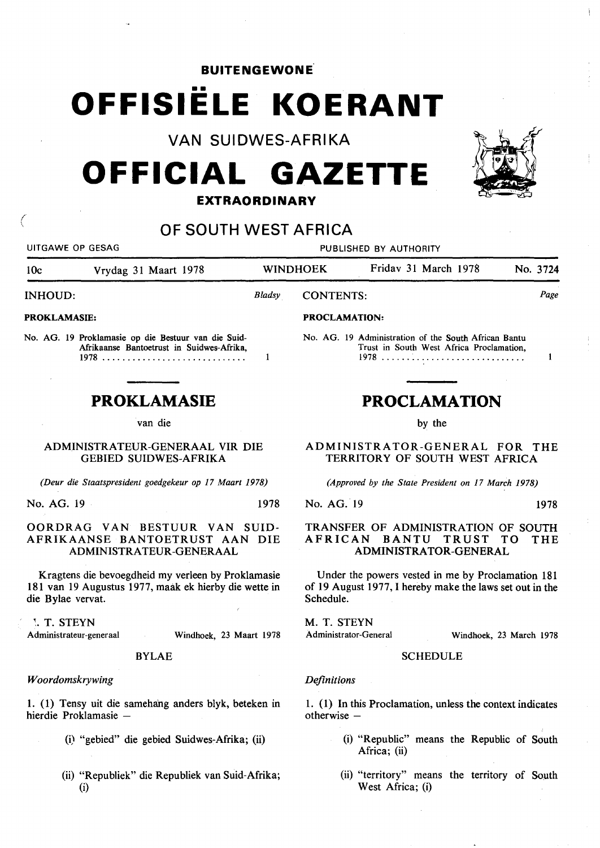## **BUITENGEWONE .**

# •• **OFFISIELE KOERANT**

**VAN SUIDWES-AFRIKA** 

# **OFFICIAL GAZETTE**



# **OF SOUTH WEST AFRICA**

UITGAWE OP GESAG PUBLISHED BY AUTHORITY lOc Vrydag 31 Maart 1978 WINDHOEK Fridav 31 March 1978 No. 3724 INHOUD: *Bladsy* CONTENTS: *Page*  PROKLAMASIE: PROCLAMATION: No. AG. 19 Proklamasie op die Bestuur van die Suid-No. AG. 19 Administration of the South African Bantu Afrikaanse Bantoetrust in Suidwes-Afrika, Trust in South West Africa Proclamation, 1978 ............................ .  $\mathbf{1}$ 1978 ...... ~ ..................... .  $\mathbf{1}$ **PROKLAMASIE PROCLAMATION**  van die by the ADMINISTRATEUR-GENERAAL VIR DIE GEBIED SUIDWES-AFRIKA TERRITORY OF SOUTH WEST AFRICA *(Deur die Staatspresident goedgekeur op 17 Maart 1978) (Approved by the State President on 17 March 1978)*  No. AG. 19 1978 No. AG. 19 1978 AFRICAN BANTU TRUST TO ADMINISTRATEUR-GENERAAL ADMINISTRATOR-GENERAL Kragtens die bevoegdheid my verleen by Proklamasie Under the powers vested in me by Proclamation 181 Schedule. M. T. STEYN ~. T. STEYN Administrator-General Windhoek, 23 Maart 1978 BYLAE SCHEDULE *Definitions*  1. (1) Tensy uit die sameha'ng anders blyk, beteken in 1. ( 1) In this Proclamation, unless the context indicates hierdie Proklamasie otherwise  $-$ 

- (i) "gebied" die gebied Suidwes-Afrika; (ii)
- (ii) "Republiek" die Republiek van Suid-Afrika; (i)

ADMINISTRATOR-GENERAL FOR THE

# TRANSFER OF ADMINISTRATION OF SOUTH<br>AFRICAN BANTU TRUST TO THE

of 19 August 1977, I hereby make the laws set out in the

Windhoek, 23 March 1978

- (i) "Republic" means the Republic of South Africa; (ii)
- (ii) "territory" means the territory of South West Africa; (i)



( \

# OORDRAG VAN BESTUUR VAN SUID-AFRIKAANSE BANTOETRUST AAN DIE

181 van 19 Augustus 1977, maak ek hierby die wette in die Bylae vervat.

Administrateur-generaal

## *Woordomskrywing*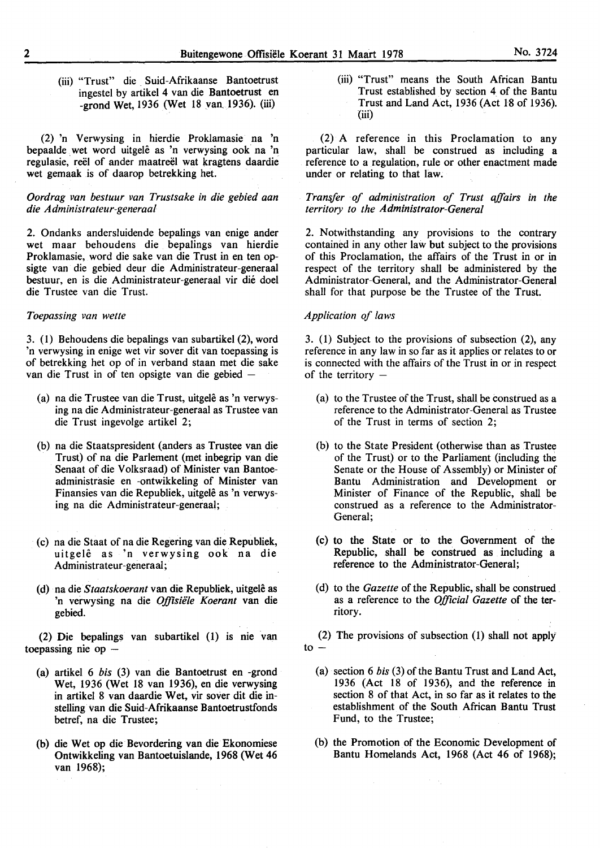(iii) "Trust" die . Suid-Afrikaanse Bantoetrust ingestel by artikel 4 van die Bantoetrust en -grond Wet, 1936 (Wet 18 van\_ 1936). (iii)

(2) 'n Verwysing in hierdie Proklamasie na 'n bepaalde wet word uitgele as 'n verwysing ook na 'n regulasie, reel of ander maatreel wat kragtens daardie wet gemaak is of daarop betrekking het.

#### *Oordrag van bestuur van Trustsake in die gebied aan die Administrateur-generaal*

2. Ondanks andersluidende bepalings van enige ander wet maar behoudens die bepalings van hierdie Proklamasie, word die sake van die Trust in en ten opsigte van die gebied deur die Administrateur-generaal bestuur, en is die Administrateur-generaal vir die doel die Trustee van die Trust.

#### *Toepassing van wette*

3. (1) Behoudens die bepalings van subartikel (2), word 'n verwysing in enige wet vir sover dit van toepassing is of betrekking het op of in verband staan met die sake van die Trust in of ten opsigte van die gebied -

- (a) na die Trustee van die Trust, uitgelê as 'n verwysing na die Administrateur-generaal as Trustee van die Trust ingevolge artikel 2;
- (b) na die Staatspresident (anders as Trustee van die Trust) of na die Parlement (met inbegrip van die Senaat of die Volksraad) of Minister van Bantoeadministrasie en -ontwikkeling of Minister van Finansies van die Republiek, uitgelê as 'n verwysing na die Administrateur-generaal;
- (c) na die Staat of na die Regering van die Republiek, uitgele as 'n verwysing ook na die Administrateur-generaal;
- (d) na *dieStaatskoerant* van die Republiek, uitgele as 'n verwysing na die Offisiële Koerant van die gebied.

(2) Die bepalings van subartikel (1) is nie van toepassing nie op  $-$ 

- (a) artikel 6 *bis* (3) van die Bantoetrust en -grond Wet, 1936 (Wet 18 van 1936), en die verwysing in artikel 8 van daardie Wet, vir sover dit die instelling van die Suid-Afrikaanse Bantoetrustfonds betref, na die Trustee;
- (b) die Wet op die Bevordering van die Ekonomiese Ontwikkeling van Bantoetuislande, 1968 (Wet 46 van 1968);

(iii) "Trust" means the South African Bantu Trust established by section 4 of the Bantu Trust and Land Act, 1936 (Act 18 of 1936). (iii)

(2) A reference in this Proclamation to any particular law, shall be construed as including a reference to a regulation, rule or other enactment made under or relating to that law.

*Transfer of administration of Trust affairs in the territory to the Administrator-General* 

2. Notwithstanding any provisions to the contrary contained in any other law but subject to the provisions of this Proclamation, the affairs of the Trust in or in respect of the territory shall be administered by the Administrator-General, and the Administrator-General shall for that purpose be the Trustee of the Trust.

### *Application of laws*

3. (1) Subject to the provisions of subsection (2), any reference in any law in so far as it applies or relates to or is connected with the affairs of the Trust in or in respect of the territory  $-$ 

- (a) to the Trustee of the Trust, shall be construed as a reference to the Administrator-General as Trustee of the Trust in terms of section 2;
- (b) to the State President (otherwise than as Trustee of the Trust) or to the Parliament (including the Senate or the House of Assembly) or Minister of Bantu Administration and Development or Minister of Finance of the Republic, shall be construed as a reference to the Administrator-General;
- (c) to the State or to the Government of the Republic, shall be construed as including a reference to the Administrator-General;
- (d) to the *Gazette* of the Republic, shall be construed . as a reference to the *Official Gazette* of the territory.

(2) The provisions of subsection (1) shall not apply  $to -$ 

- (a) section 6 *bis* (3) of the Bantu Trust and Land Act, 1936 (Act 18 of 1936), and the reference in section 8 of that Act, in so far as it relates to the establishment of the South African Bantu Trust Fund, to the Trustee;
- (b) the Promotion of the Economic Development of Bantu Homelands Act, 1968 (Act 46 of 1968);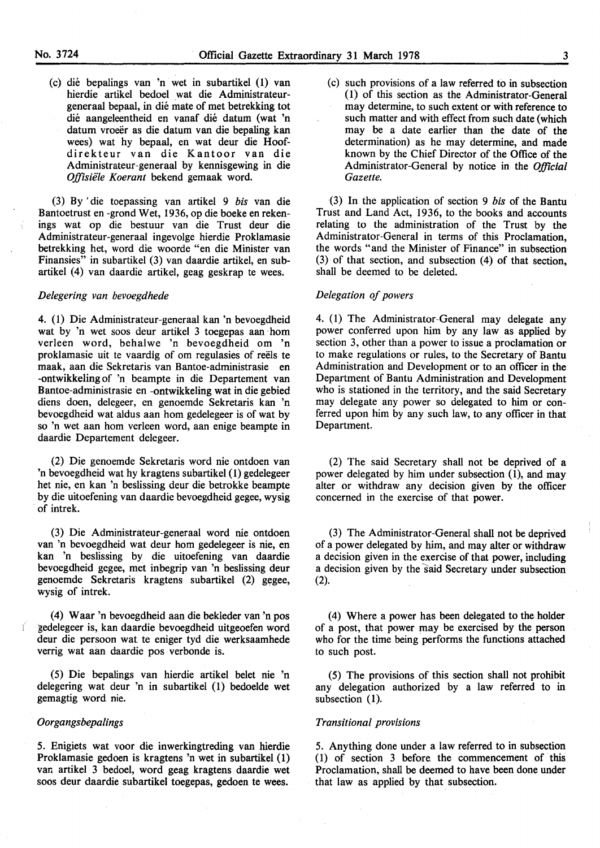(c) die bepalings van 'n wet in subartikel (1) van hierdie artikel bedoel wat die Administrateurgeneraal bepaal, in die mate of met betrekking tot die aangeleentheid en vanaf die datum (wat 'n datum vroeër as die datum van die bepaling kan wees) wat by bepaal, en wat deur die Hoofdirekteur van die Kantoor van die Administrateur-generaal by kennisgewing in die *Offisiele Koerant* bekend gemaak word.

(3) By 'die toepassing van artikel 9 *bis* van die Bantoetrust en -grond Wet, 1936, op die boeke en rekenings wat op die bestuur van die Trust deur die Administrateur-generaal ingevolge hierdie Proklamasie betrekking bet, word die woorde "en die Minister van Finansies" in subartikel (3) van daardie artikel, en subartikel ( 4) van daardie artikel, geag geskrap te wees.

#### *Delegering van bevoegdhede*

4. (1) Die Administrateur-generaal kan 'n bevoegdheid wat by 'n wet soos deur artikel 3 toegepas aan ·hom verleen word, behalwe 'n bevoegdheid om 'n proklamasie uit te vaardig of om regulasies of reels te maak, aan die Sekretaris van Bantoe-adrninistrasie en -ontwikkeling of 'n. beam pte in die Departement van Bantoe-administrasie en -ontwikkeling wat in die gebied diens doen, delegeer, en genoemde Sekretaris kan 'n bevoegdheid wat aldus aan hom gedelegeer is of wat by so 'n wet aan hom verleen word, aan enige beampte in daardie Departement delegeer.

(2) Die genoemde Sekretaris word nie ontdoen van 'n bevoegdheid wat by kragtens subartikel (1) gedelegeer bet nie, en kan 'n beslissing deur die betrokke beampte by die uitoefening van daardie bevoegdheid gegee, wysig of intrek.

(3) Die Administrateur-generaal word nie ontdoen van 'n bevoegdheid wat deur hom gedelegeer is nie, en kan 'n beslissing by die uitoefening van daardie bevoegdheid gegee, met inbegrip van 'n beslissing deur genoemde Sekretaris kragtens subartikel (2) gegee, wysig of intrek.

(4) Waar 'n bevoegdheid aan die bekleder van 'n pos l gedelegeer is, kan daardie bevoegdheid uitgeoefen word deur die persoon wat te eniger tyd die werksaamhede verrig wat aan daardie pos verbonde is.

(5) Die bepalings van hierdie artikel belet nie 'n delegering wat deur 'n in subartikel (1) bedoelde wet gemagtig word nie.

#### *Oorgangsbepalings*

5. Enigiets wat voor die inwerkingtreding van hierdie Proklamasie gedoen is kragtens 'n wet in subartikel (1) van artikel 3 bedoel, word geag kragtens daardie wet soos deur daardie subartikel toegepas, gedoen te wees.

(c) such provisions of a law referred to in subsection ( 1) of this section as the Administrator-General may determine, to such extent or with reference to such matter and with effect from such date (which may be a date earlier than the date of the determination) as he may determine, and made known by the Chief Director of the Office of the Administrator-General by notice in the *Official Gazette.* 

(3) In the application of section 9 *bis* of the Bantu Trust and Land Act, 1936, to the books and accounts relating to the administration of the Trust by the Administrator-General in terms of this Proclamation, the words "and the Minister of Finance" in subsection (3) of that section, and subsection (4) of that section, shall be deemed to be deleted.

#### *Delegation of powers*

4. (1) The Administrator-General may delegate any power conferred upon him by any law as applied by section 3, other than a power to issue a proclamation or to make regulations or rules, to the Secretary of Bantu Administration and Development or to an officer in the Department of Bantu Administration and Development who is stationed in the territory, and the said Secretary may delegate any power so delegated to him or conferred upon him by any such law, to any officer in that Department.

(2) The said Secretary shall not be deprived of a power delegated by him under subsection (1), and may alter or withdraw any decision given by the officer concerned in the exercise of that power.

(3) The Administrator-General shall not be deprived of a power delegated by him, and may alter or withdraw a decision given in the exercise of that power, including a decision given by the said Secretary under subsection (2).

(4) Where a power has been delegated to the holder of a post, that power may be exercised by the person who for the time being performs the functions attached to such post.

(5) The provisions of this section shall not prohibit any delegation authorized by a law referred to in subsection (1).

#### *Transitional provisions*

5. Anything done under a law referred to in subsection (1) of section 3 before the commencement of this Proclamation, shall be deemed to have been done under that law as applied by that subsection.